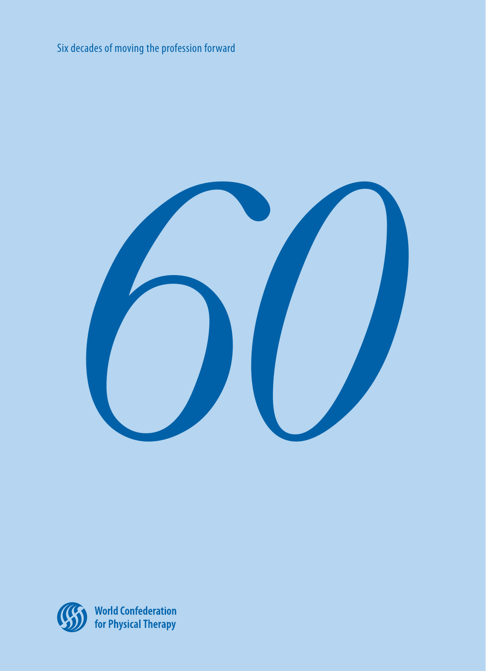Six decades of moving the profession forward





World Confederation<br>for Physical Therapy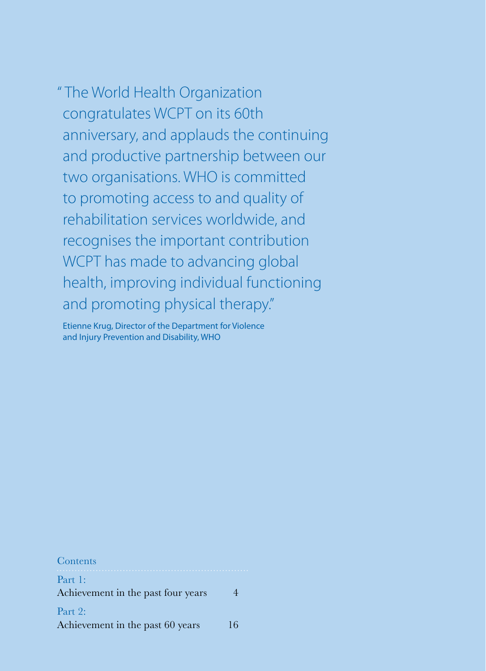" The World Health Organization congratulates WCPT on its 60th anniversary, and applauds the continuing and productive partnership between our two organisations. WHO is committed to promoting access to and quality of rehabilitation services worldwide, and recognises the important contribution WCPT has made to advancing global health, improving individual functioning and promoting physical therapy."

Etienne Krug, Director of the Department for Violence and Injury Prevention and Disability, WHO

Contents Part 1: Achievement in the past four years 4 Part 2: Achievement in the past 60 years 16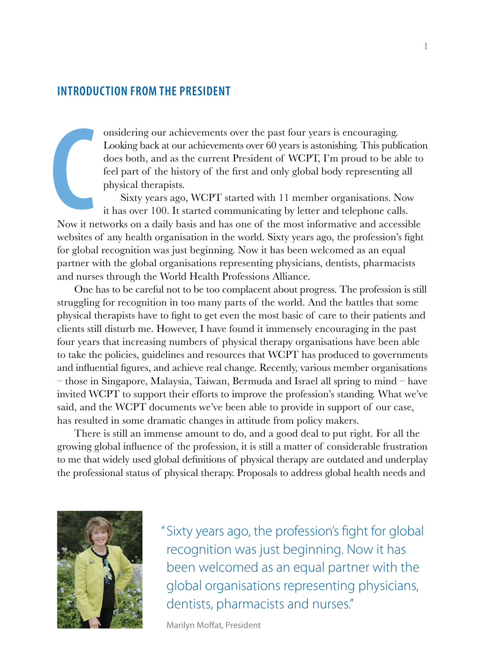# **Introduction from the President**

onsidering our achievements over the past four years is encouraging. Looking back at our achievements over 60 years is astonishing. This publication does both, and as the current President of WCPT, I'm proud to be able to feel part of the history of the first and only global body representing all physical therapists.

Sixty years ago, WCPT started with 11 member organisations. Now it has over 100. It started communicating by letter and telephone calls. Now it networks on a daily basis and has one of the most informative and accessible websites of any health organisation in the world. Sixty years ago, the profession's fight for global recognition was just beginning. Now it has been welcomed as an equal partner with the global organisations representing physicians, dentists, pharmacists and nurses through the World Health Professions Alliance. **C**<br>Now it n

One has to be careful not to be too complacent about progress. The profession is still struggling for recognition in too many parts of the world. And the battles that some physical therapists have to fight to get even the most basic of care to their patients and clients still disturb me. However, I have found it immensely encouraging in the past four years that increasing numbers of physical therapy organisations have been able to take the policies, guidelines and resources that WCPT has produced to governments and influential figures, and achieve real change. Recently, various member organisations – those in Singapore, Malaysia, Taiwan, Bermuda and Israel all spring to mind – have invited WCPT to support their efforts to improve the profession's standing. What we've said, and the WCPT documents we've been able to provide in support of our case, has resulted in some dramatic changes in attitude from policy makers.

There is still an immense amount to do, and a good deal to put right. For all the growing global influence of the profession, it is still a matter of considerable frustration to me that widely used global definitions of physical therapy are outdated and underplay the professional status of physical therapy. Proposals to address global health needs and



"Sixty years ago, the profession's fight for global recognition was just beginning. Now it has been welcomed as an equal partner with the global organisations representing physicians, dentists, pharmacists and nurses."

Marilyn Moffat, President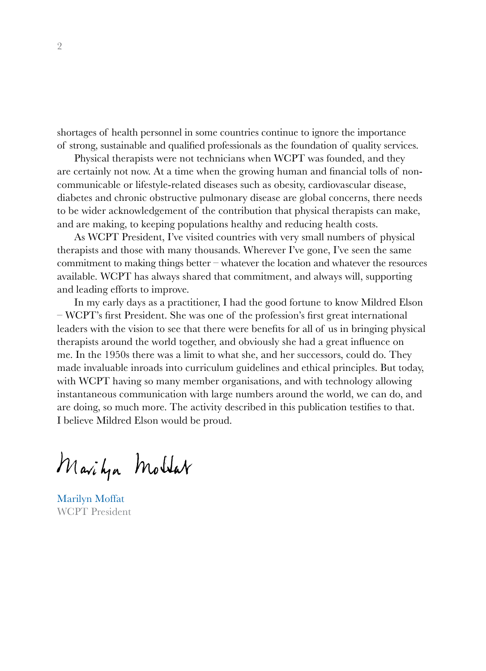shortages of health personnel in some countries continue to ignore the importance of strong, sustainable and qualified professionals as the foundation of quality services.

Physical therapists were not technicians when WCPT was founded, and they are certainly not now. At a time when the growing human and financial tolls of noncommunicable or lifestyle-related diseases such as obesity, cardiovascular disease, diabetes and chronic obstructive pulmonary disease are global concerns, there needs to be wider acknowledgement of the contribution that physical therapists can make, and are making, to keeping populations healthy and reducing health costs.

As WCPT President, I've visited countries with very small numbers of physical therapists and those with many thousands. Wherever I've gone, I've seen the same commitment to making things better – whatever the location and whatever the resources available. WCPT has always shared that commitment, and always will, supporting and leading efforts to improve.

In my early days as a practitioner, I had the good fortune to know Mildred Elson – WCPT's first President. She was one of the profession's first great international leaders with the vision to see that there were benefits for all of us in bringing physical therapists around the world together, and obviously she had a great influence on me. In the 1950s there was a limit to what she, and her successors, could do. They made invaluable inroads into curriculum guidelines and ethical principles. But today, with WCPT having so many member organisations, and with technology allowing instantaneous communication with large numbers around the world, we can do, and are doing, so much more. The activity described in this publication testifies to that. I believe Mildred Elson would be proud.

Marityn Moltar

Marilyn Moffat WCPT President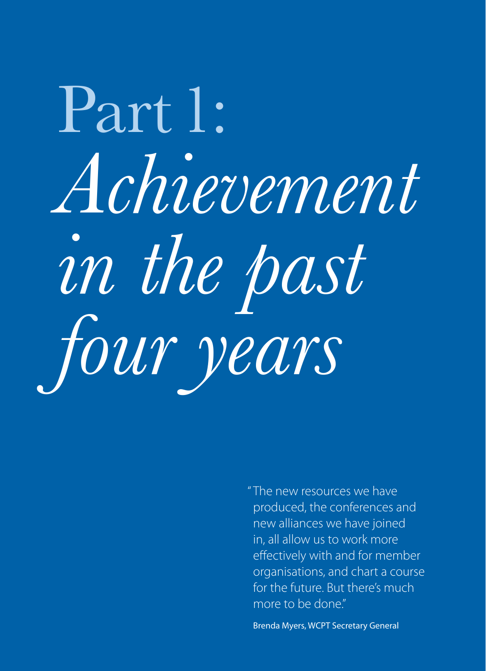# Part 1: *Achievement in the past four years*

" The new resources we have produced, the conferences and new alliances we have joined in, all allow us to work more effectively with and for member organisations, and chart a course for the future. But there's much more to be done"

Brenda Myers, WCPT Secretary General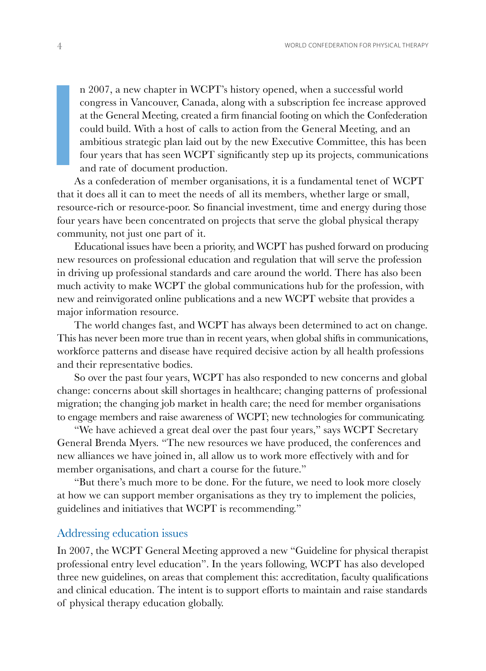n 2007, a new chapter in WCPT's history opened, when a successful world congress in Vancouver, Canada, along with a subscription fee increase approved at the General Meeting, created a firm financial footing on which the Confederation could build. With a host of calls to action from the General Meeting, and an ambitious strategic plan laid out by the new Executive Committee, this has been four years that has seen WCPT significantly step up its projects, communications and rate of document production.

As a confederation of member organisations, it is a fundamental tenet of WCPT that it does all it can to meet the needs of all its members, whether large or small, resource-rich or resource-poor. So financial investment, time and energy during those four years have been concentrated on projects that serve the global physical therapy community, not just one part of it. **I** 

Educational issues have been a priority, and WCPT has pushed forward on producing new resources on professional education and regulation that will serve the profession in driving up professional standards and care around the world. There has also been much activity to make WCPT the global communications hub for the profession, with new and reinvigorated online publications and a new WCPT website that provides a major information resource.

The world changes fast, and WCPT has always been determined to act on change. This has never been more true than in recent years, when global shifts in communications, workforce patterns and disease have required decisive action by all health professions and their representative bodies.

So over the past four years, WCPT has also responded to new concerns and global change: concerns about skill shortages in healthcare; changing patterns of professional migration; the changing job market in health care; the need for member organisations to engage members and raise awareness of WCPT; new technologies for communicating.

"We have achieved a great deal over the past four years," says WCPT Secretary General Brenda Myers. "The new resources we have produced, the conferences and new alliances we have joined in, all allow us to work more effectively with and for member organisations, and chart a course for the future."

"But there's much more to be done. For the future, we need to look more closely at how we can support member organisations as they try to implement the policies, guidelines and initiatives that WCPT is recommending."

## Addressing education issues

In 2007, the WCPT General Meeting approved a new "Guideline for physical therapist professional entry level education". In the years following, WCPT has also developed three new guidelines, on areas that complement this: accreditation, faculty qualifications and clinical education. The intent is to support efforts to maintain and raise standards of physical therapy education globally.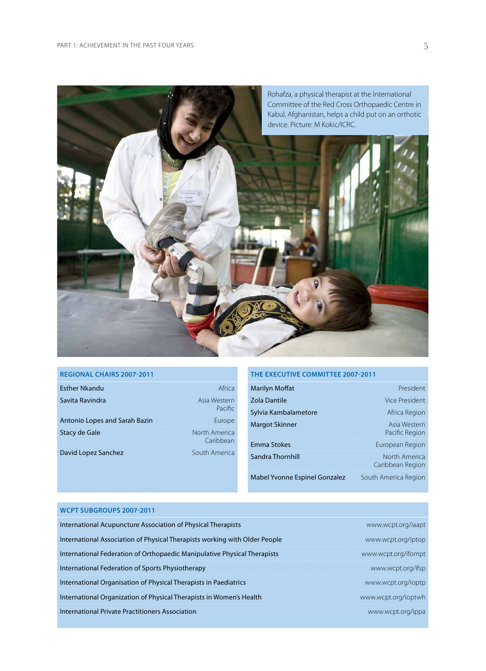

#### **Regional Chairs 2007-2011**

| <b>Esther Nkandu</b>          | Africa                     |
|-------------------------------|----------------------------|
| Savita Ravindra               | Asia Western<br>Pacific    |
| Antonio Lopes and Sarah Bazin | Europe                     |
| Stacy de Gale                 | North America<br>Caribbean |
| David Lopez Sanchez           | South America              |

#### **The Executive Committee 2007-2011**

| Marilyn Moffat                | President                         |
|-------------------------------|-----------------------------------|
| Zola Dantile                  | Vice President                    |
| Sylvia Kambalametore          | Africa Region                     |
| <b>Margot Skinner</b>         | Asia Western<br>Pacific Region    |
| <b>Emma Stokes</b>            | European Region                   |
| Sandra Thornhill              | North America<br>Caribbean Region |
| Mabel Yvonne Espinel Gonzalez | South America Region              |

#### **WCPT subgroups 2007-2011**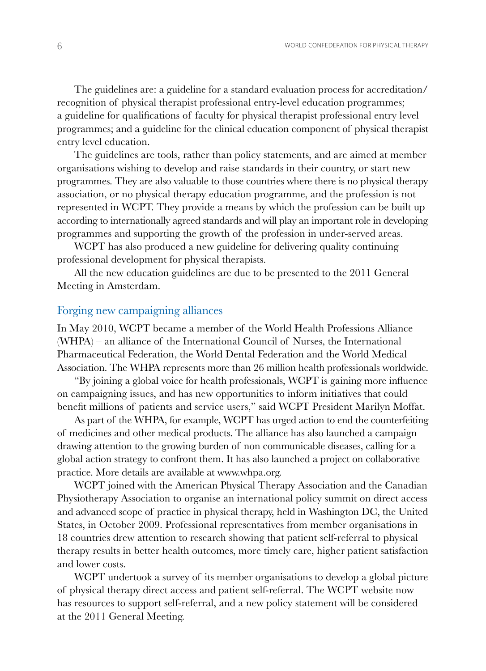The guidelines are: a guideline for a standard evaluation process for accreditation/ recognition of physical therapist professional entry-level education programmes; a guideline for qualifications of faculty for physical therapist professional entry level programmes; and a guideline for the clinical education component of physical therapist entry level education.

The guidelines are tools, rather than policy statements, and are aimed at member organisations wishing to develop and raise standards in their country, or start new programmes. They are also valuable to those countries where there is no physical therapy association, or no physical therapy education programme, and the profession is not represented in WCPT. They provide a means by which the profession can be built up according to internationally agreed standards and will play an important role in developing programmes and supporting the growth of the profession in under-served areas.

WCPT has also produced a new guideline for delivering quality continuing professional development for physical therapists.

All the new education guidelines are due to be presented to the 2011 General Meeting in Amsterdam.

## Forging new campaigning alliances

In May 2010, WCPT became a member of the World Health Professions Alliance (WHPA) – an alliance of the International Council of Nurses, the International Pharmaceutical Federation, the World Dental Federation and the World Medical Association. The WHPA represents more than 26 million health professionals worldwide.

"By joining a global voice for health professionals, WCPT is gaining more influence on campaigning issues, and has new opportunities to inform initiatives that could benefit millions of patients and service users," said WCPT President Marilyn Moffat.

As part of the WHPA, for example, WCPT has urged action to end the counterfeiting of medicines and other medical products. The alliance has also launched a campaign drawing attention to the growing burden of non communicable diseases, calling for a global action strategy to confront them. It has also launched a project on collaborative practice. More details are available at www.whpa.org.

WCPT joined with the American Physical Therapy Association and the Canadian Physiotherapy Association to organise an international policy summit on direct access and advanced scope of practice in physical therapy, held in Washington DC, the United States, in October 2009. Professional representatives from member organisations in 18 countries drew attention to research showing that patient self-referral to physical therapy results in better health outcomes, more timely care, higher patient satisfaction and lower costs.

WCPT undertook a survey of its member organisations to develop a global picture of physical therapy direct access and patient self-referral. The WCPT website now has resources to support self-referral, and a new policy statement will be considered at the 2011 General Meeting.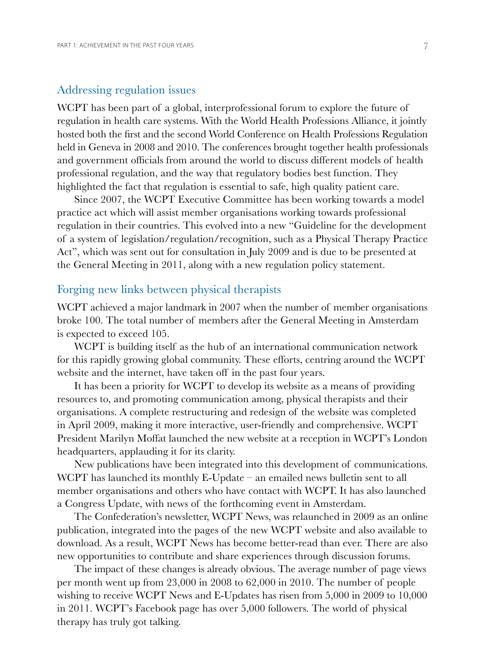### Addressing regulation issues

WCPT has been part of a global, interprofessional forum to explore the future of regulation in health care systems. With the World Health Professions Alliance, it jointly hosted both the first and the second World Conference on Health Professions Regulation held in Geneva in 2008 and 2010. The conferences brought together health professionals and government officials from around the world to discuss different models of health professional regulation, and the way that regulatory bodies best function. They highlighted the fact that regulation is essential to safe, high quality patient care.

Since 2007, the WCPT Executive Committee has been working towards a model practice act which will assist member organisations working towards professional regulation in their countries. This evolved into a new "Guideline for the development of a system of legislation/regulation/recognition, such as a Physical Therapy Practice Act", which was sent out for consultation in July 2009 and is due to be presented at the General Meeting in 2011, along with a new regulation policy statement.

## Forging new links between physical therapists

WCPT achieved a major landmark in 2007 when the number of member organisations broke 100. The total number of members after the General Meeting in Amsterdam is expected to exceed 105.

WCPT is building itself as the hub of an international communication network for this rapidly growing global community. These efforts, centring around the WCPT website and the internet, have taken off in the past four years.

It has been a priority for WCPT to develop its website as a means of providing resources to, and promoting communication among, physical therapists and their organisations. A complete restructuring and redesign of the website was completed in April 2009, making it more interactive, user-friendly and comprehensive. WCPT President Marilyn Moffat launched the new website at a reception in WCPT's London headquarters, applauding it for its clarity.

New publications have been integrated into this development of communications. WCPT has launched its monthly E-Update – an emailed news bulletin sent to all member organisations and others who have contact with WCPT. It has also launched a Congress Update, with news of the forthcoming event in Amsterdam.

The Confederation's newsletter, WCPT News, was relaunched in 2009 as an online publication, integrated into the pages of the new WCPT website and also available to download. As a result, WCPT News has become better-read than ever. There are also new opportunities to contribute and share experiences through discussion forums.

The impact of these changes is already obvious. The average number of page views per month went up from 23,000 in 2008 to 62,000 in 2010. The number of people wishing to receive WCPT News and E-Updates has risen from 5,000 in 2009 to 10,000 in 2011. WCPT's Facebook page has over 5,000 followers. The world of physical therapy has truly got talking.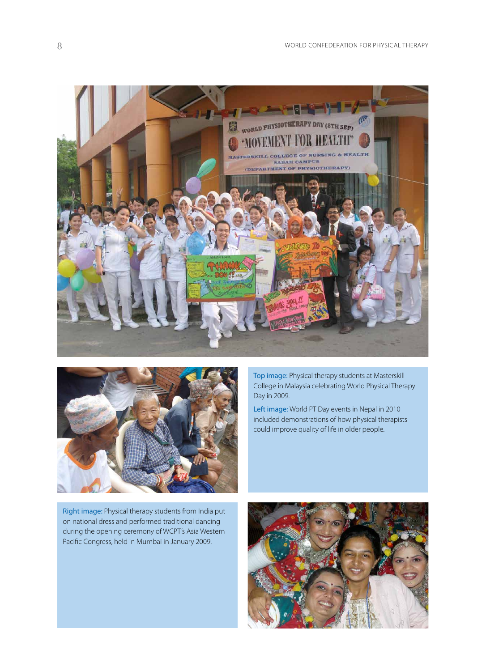



Top image: Physical therapy students at Masterskill College in Malaysia celebrating World Physical Therapy Day in 2009.

Left image: World PT Day events in Nepal in 2010 included demonstrations of how physical therapists could improve quality of life in older people.

Right image: Physical therapy students from India put on national dress and performed traditional dancing during the opening ceremony of WCPT's Asia Western Pacific Congress, held in Mumbai in January 2009.

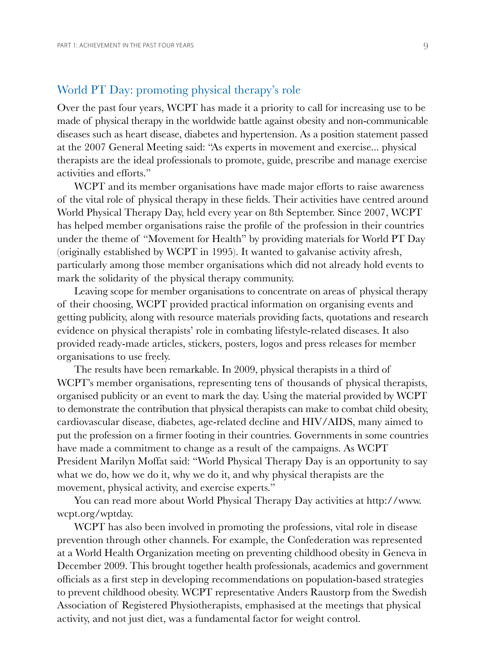# World PT Day: promoting physical therapy's role

Over the past four years, WCPT has made it a priority to call for increasing use to be made of physical therapy in the worldwide battle against obesity and non-communicable diseases such as heart disease, diabetes and hypertension. As a position statement passed at the 2007 General Meeting said: "As experts in movement and exercise... physical therapists are the ideal professionals to promote, guide, prescribe and manage exercise activities and efforts."

WCPT and its member organisations have made major efforts to raise awareness of the vital role of physical therapy in these fields. Their activities have centred around World Physical Therapy Day, held every year on 8th September. Since 2007, WCPT has helped member organisations raise the profile of the profession in their countries under the theme of "Movement for Health" by providing materials for World PT Day (originally established by WCPT in 1995). It wanted to galvanise activity afresh, particularly among those member organisations which did not already hold events to mark the solidarity of the physical therapy community.

Leaving scope for member organisations to concentrate on areas of physical therapy of their choosing, WCPT provided practical information on organising events and getting publicity, along with resource materials providing facts, quotations and research evidence on physical therapists' role in combating lifestyle-related diseases. It also provided ready-made articles, stickers, posters, logos and press releases for member organisations to use freely.

The results have been remarkable. In 2009, physical therapists in a third of WCPT's member organisations, representing tens of thousands of physical therapists, organised publicity or an event to mark the day. Using the material provided by WCPT to demonstrate the contribution that physical therapists can make to combat child obesity, cardiovascular disease, diabetes, age-related decline and HIV/AIDS, many aimed to put the profession on a firmer footing in their countries. Governments in some countries have made a commitment to change as a result of the campaigns. As WCPT President Marilyn Moffat said: "World Physical Therapy Day is an opportunity to say what we do, how we do it, why we do it, and why physical therapists are the movement, physical activity, and exercise experts."

You can read more about World Physical Therapy Day activities at http://www. wcpt.org/wptday.

WCPT has also been involved in promoting the professions, vital role in disease prevention through other channels. For example, the Confederation was represented at a World Health Organization meeting on preventing childhood obesity in Geneva in December 2009. This brought together health professionals, academics and government officials as a first step in developing recommendations on population-based strategies to prevent childhood obesity. WCPT representative Anders Raustorp from the Swedish Association of Registered Physiotherapists, emphasised at the meetings that physical activity, and not just diet, was a fundamental factor for weight control.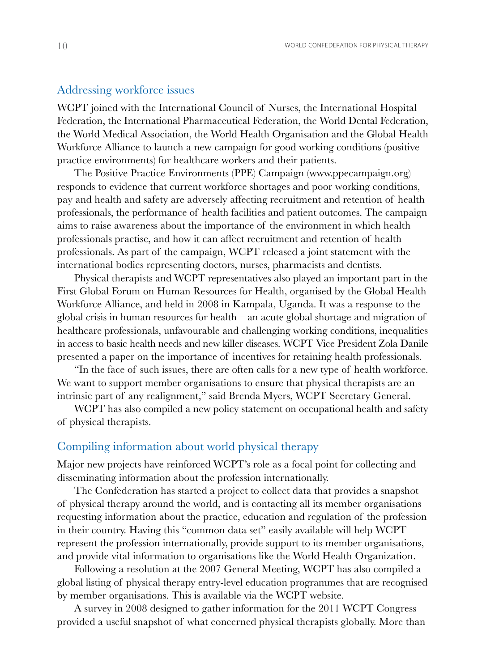#### Addressing workforce issues

WCPT joined with the International Council of Nurses, the International Hospital Federation, the International Pharmaceutical Federation, the World Dental Federation, the World Medical Association, the World Health Organisation and the Global Health Workforce Alliance to launch a new campaign for good working conditions (positive practice environments) for healthcare workers and their patients.

The Positive Practice Environments (PPE) Campaign (www.ppecampaign.org) responds to evidence that current workforce shortages and poor working conditions, pay and health and safety are adversely affecting recruitment and retention of health professionals, the performance of health facilities and patient outcomes. The campaign aims to raise awareness about the importance of the environment in which health professionals practise, and how it can affect recruitment and retention of health professionals. As part of the campaign, WCPT released a joint statement with the international bodies representing doctors, nurses, pharmacists and dentists.

Physical therapists and WCPT representatives also played an important part in the First Global Forum on Human Resources for Health, organised by the Global Health Workforce Alliance, and held in 2008 in Kampala, Uganda. It was a response to the global crisis in human resources for health – an acute global shortage and migration of healthcare professionals, unfavourable and challenging working conditions, inequalities in access to basic health needs and new killer diseases. WCPT Vice President Zola Danile presented a paper on the importance of incentives for retaining health professionals.

"In the face of such issues, there are often calls for a new type of health workforce. We want to support member organisations to ensure that physical therapists are an intrinsic part of any realignment," said Brenda Myers, WCPT Secretary General.

WCPT has also compiled a new policy statement on occupational health and safety of physical therapists.

# Compiling information about world physical therapy

Major new projects have reinforced WCPT's role as a focal point for collecting and disseminating information about the profession internationally.

The Confederation has started a project to collect data that provides a snapshot of physical therapy around the world, and is contacting all its member organisations requesting information about the practice, education and regulation of the profession in their country. Having this "common data set" easily available will help WCPT represent the profession internationally, provide support to its member organisations, and provide vital information to organisations like the World Health Organization.

Following a resolution at the 2007 General Meeting, WCPT has also compiled a global listing of physical therapy entry-level education programmes that are recognised by member organisations. This is available via the WCPT website.

A survey in 2008 designed to gather information for the 2011 WCPT Congress provided a useful snapshot of what concerned physical therapists globally. More than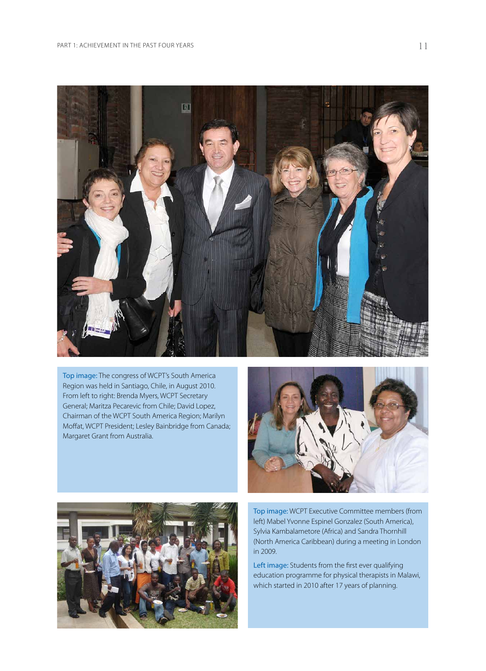

Top image: The congress of WCPT's South America Region was held in Santiago, Chile, in August 2010. From left to right: Brenda Myers, WCPT Secretary General; Maritza Pecarevic from Chile; David Lopez, Chairman of the WCPT South America Region; Marilyn Moffat, WCPT President; Lesley Bainbridge from Canada; Margaret Grant from Australia.





Top image: WCPT Executive Committee members (from left) Mabel Yvonne Espinel Gonzalez (South America), Sylvia Kambalametore (Africa) and Sandra Thornhill (North America Caribbean) during a meeting in London in 2009.

Left image: Students from the first ever qualifying education programme for physical therapists in Malawi, which started in 2010 after 17 years of planning.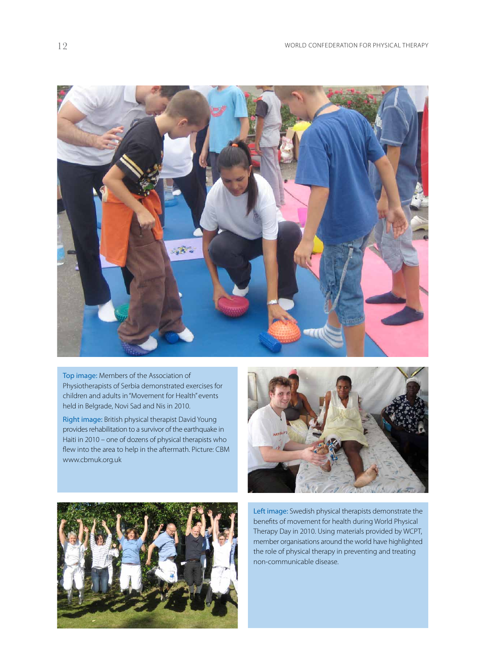

Top image: Members of the Association of Physiotherapists of Serbia demonstrated exercises for children and adults in "Movement for Health" events held in Belgrade, Novi Sad and Nis in 2010.

Right image: British physical therapist David Young provides rehabilitation to a survivor of the earthquake in Haiti in 2010 – one of dozens of physical therapists who flew into the area to help in the aftermath. Picture: CBM www.cbmuk.org.uk





Left image: Swedish physical therapists demonstrate the benefits of movement for health during World Physical Therapy Day in 2010. Using materials provided by WCPT, member organisations around the world have highlighted the role of physical therapy in preventing and treating non-communicable disease.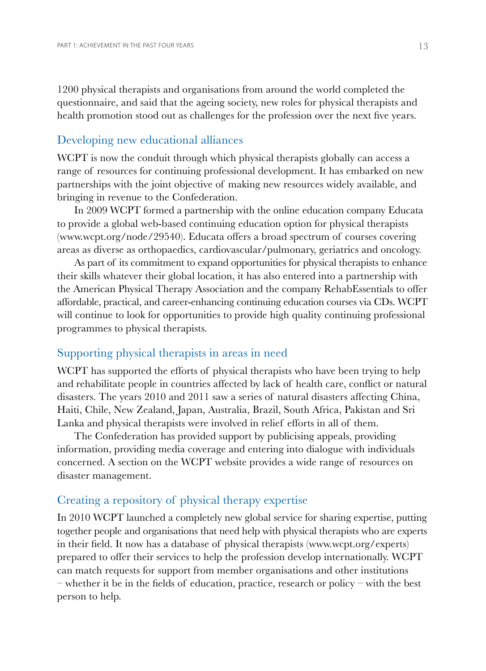1200 physical therapists and organisations from around the world completed the questionnaire, and said that the ageing society, new roles for physical therapists and health promotion stood out as challenges for the profession over the next five years.

# Developing new educational alliances

WCPT is now the conduit through which physical therapists globally can access a range of resources for continuing professional development. It has embarked on new partnerships with the joint objective of making new resources widely available, and bringing in revenue to the Confederation.

In 2009 WCPT formed a partnership with the online education company Educata to provide a global web-based continuing education option for physical therapists (www.wcpt.org/node/29540). Educata offers a broad spectrum of courses covering areas as diverse as orthopaedics, cardiovascular/pulmonary, geriatrics and oncology.

As part of its commitment to expand opportunities for physical therapists to enhance their skills whatever their global location, it has also entered into a partnership with the American Physical Therapy Association and the company RehabEssentials to offer affordable, practical, and career-enhancing continuing education courses via CDs. WCPT will continue to look for opportunities to provide high quality continuing professional programmes to physical therapists.

# Supporting physical therapists in areas in need

WCPT has supported the efforts of physical therapists who have been trying to help and rehabilitate people in countries affected by lack of health care, conflict or natural disasters. The years 2010 and 2011 saw a series of natural disasters affecting China, Haiti, Chile, New Zealand, Japan, Australia, Brazil, South Africa, Pakistan and Sri Lanka and physical therapists were involved in relief efforts in all of them.

The Confederation has provided support by publicising appeals, providing information, providing media coverage and entering into dialogue with individuals concerned. A section on the WCPT website provides a wide range of resources on disaster management.

# Creating a repository of physical therapy expertise

In 2010 WCPT launched a completely new global service for sharing expertise, putting together people and organisations that need help with physical therapists who are experts in their field. It now has a database of physical therapists (www.wcpt.org/experts) prepared to offer their services to help the profession develop internationally. WCPT can match requests for support from member organisations and other institutions – whether it be in the fields of education, practice, research or policy – with the best person to help.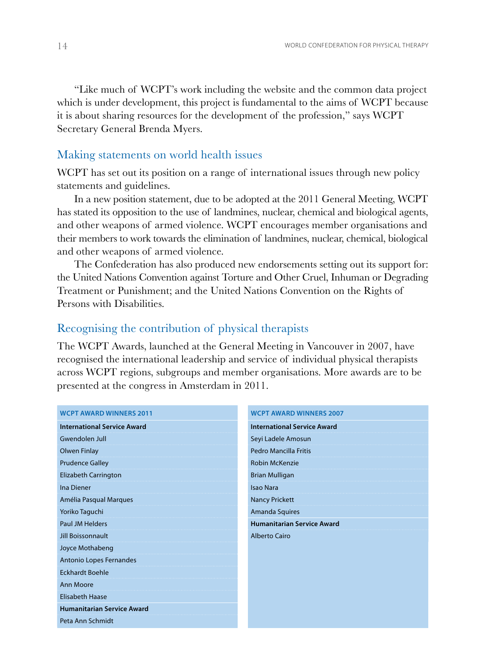"Like much of WCPT's work including the website and the common data project which is under development, this project is fundamental to the aims of WCPT because it is about sharing resources for the development of the profession," says WCPT Secretary General Brenda Myers.

#### Making statements on world health issues

WCPT has set out its position on a range of international issues through new policy statements and guidelines.

In a new position statement, due to be adopted at the 2011 General Meeting, WCPT has stated its opposition to the use of landmines, nuclear, chemical and biological agents, and other weapons of armed violence. WCPT encourages member organisations and their members to work towards the elimination of landmines, nuclear, chemical, biological and other weapons of armed violence.

The Confederation has also produced new endorsements setting out its support for: the United Nations Convention against Torture and Other Cruel, Inhuman or Degrading Treatment or Punishment; and the United Nations Convention on the Rights of Persons with Disabilities.

# Recognising the contribution of physical therapists

The WCPT Awards, launched at the General Meeting in Vancouver in 2007, have recognised the international leadership and service of individual physical therapists across WCPT regions, subgroups and member organisations. More awards are to be presented at the congress in Amsterdam in 2011.

| <b>WCPT AWARD WINNERS 2011</b>     | <b>WCPT AWARD WINNERS 2007</b>     |
|------------------------------------|------------------------------------|
| <b>International Service Award</b> | <b>International Service Award</b> |
| Gwendolen Jull                     | Seyi Ladele Amosun                 |
| Olwen Finlay                       | <b>Pedro Mancilla Fritis</b>       |
| <b>Prudence Galley</b>             | <b>Robin McKenzie</b>              |
| Elizabeth Carrington               | <b>Brian Mulligan</b>              |
| <b>Ina Diener</b>                  | <b>Isao Nara</b>                   |
| Amélia Pasqual Marques             | <b>Nancy Prickett</b>              |
| Yoriko Taguchi                     | Amanda Squires                     |
| <b>Paul JM Helders</b>             | <b>Humanitarian Service Award</b>  |
| <b>Jill Boissonnault</b>           | <b>Alberto Cairo</b>               |
| Joyce Mothabeng                    |                                    |
| Antonio Lopes Fernandes            |                                    |
| <b>Eckhardt Boehle</b>             |                                    |
| <b>Ann Moore</b>                   |                                    |
| <b>Elisabeth Haase</b>             |                                    |
| <b>Humanitarian Service Award</b>  |                                    |
| Peta Ann Schmidt                   |                                    |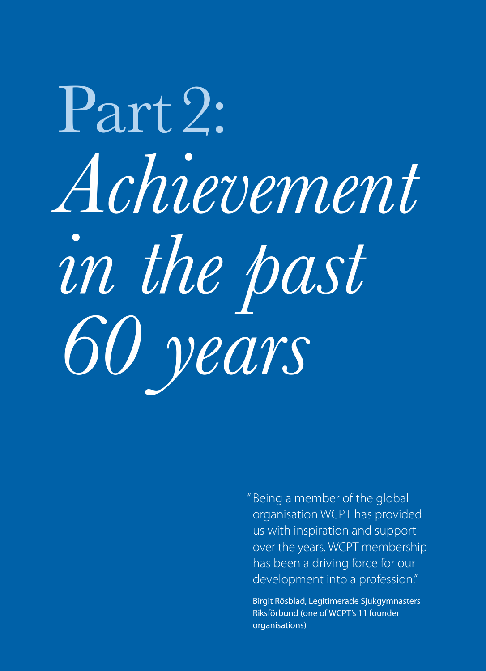# Part 2: *Achievement in the past 60 years*

" Being a member of the global organisation WCPT has provided us with inspiration and support over the years. WCPT membership has been a driving force for our development into a profession."

Birgit Rösblad, Legitimerade Sjukgymnasters Riksförbund (one of WCPT's 11 founder organisations)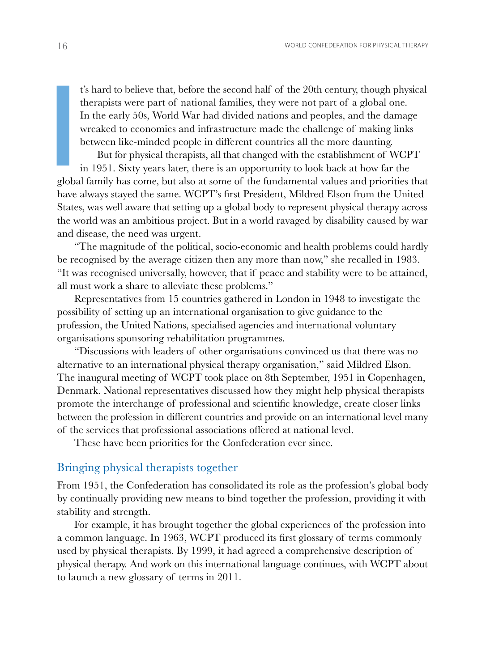t's hard to believe that, before the second half of the 20th century, though physical therapists were part of national families, they were not part of a global one. In the early 50s, World War had divided nations and peoples, and the damage wreaked to economies and infrastructure made the challenge of making links between like-minded people in different countries all the more daunting.

But for physical therapists, all that changed with the establishment of WCPT in 1951. Sixty years later, there is an opportunity to look back at how far the global family has come, but also at some of the fundamental values and priorities that have always stayed the same. WCPT's first President, Mildred Elson from the United States, was well aware that setting up a global body to represent physical therapy across the world was an ambitious project. But in a world ravaged by disability caused by war and disease, the need was urgent. **I**<br>**P**<br>**I**<br>**I**<br>**I** 

"The magnitude of the political, socio-economic and health problems could hardly be recognised by the average citizen then any more than now," she recalled in 1983. "It was recognised universally, however, that if peace and stability were to be attained, all must work a share to alleviate these problems."

Representatives from 15 countries gathered in London in 1948 to investigate the possibility of setting up an international organisation to give guidance to the profession, the United Nations, specialised agencies and international voluntary organisations sponsoring rehabilitation programmes.

"Discussions with leaders of other organisations convinced us that there was no alternative to an international physical therapy organisation," said Mildred Elson. The inaugural meeting of WCPT took place on 8th September, 1951 in Copenhagen, Denmark. National representatives discussed how they might help physical therapists promote the interchange of professional and scientific knowledge, create closer links between the profession in different countries and provide on an international level many of the services that professional associations offered at national level.

These have been priorities for the Confederation ever since.

## Bringing physical therapists together

From 1951, the Confederation has consolidated its role as the profession's global body by continually providing new means to bind together the profession, providing it with stability and strength.

For example, it has brought together the global experiences of the profession into a common language. In 1963, WCPT produced its first glossary of terms commonly used by physical therapists. By 1999, it had agreed a comprehensive description of physical therapy. And work on this international language continues, with WCPT about to launch a new glossary of terms in 2011.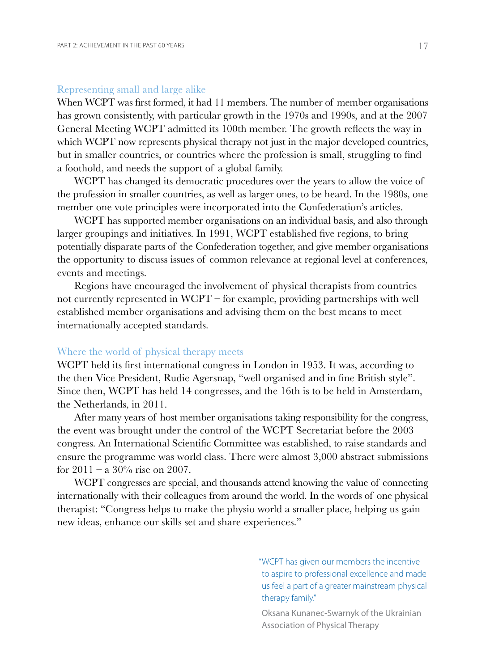#### Representing small and large alike

When WCPT was first formed, it had 11 members. The number of member organisations has grown consistently, with particular growth in the 1970s and 1990s, and at the 2007 General Meeting WCPT admitted its 100th member. The growth reflects the way in which WCPT now represents physical therapy not just in the major developed countries, but in smaller countries, or countries where the profession is small, struggling to find a foothold, and needs the support of a global family.

WCPT has changed its democratic procedures over the years to allow the voice of the profession in smaller countries, as well as larger ones, to be heard. In the 1980s, one member one vote principles were incorporated into the Confederation's articles.

WCPT has supported member organisations on an individual basis, and also through larger groupings and initiatives. In 1991, WCPT established five regions, to bring potentially disparate parts of the Confederation together, and give member organisations the opportunity to discuss issues of common relevance at regional level at conferences, events and meetings.

Regions have encouraged the involvement of physical therapists from countries not currently represented in WCPT – for example, providing partnerships with well established member organisations and advising them on the best means to meet internationally accepted standards.

#### Where the world of physical therapy meets

WCPT held its first international congress in London in 1953. It was, according to the then Vice President, Rudie Agersnap, "well organised and in fine British style". Since then, WCPT has held 14 congresses, and the 16th is to be held in Amsterdam, the Netherlands, in 2011.

After many years of host member organisations taking responsibility for the congress, the event was brought under the control of the WCPT Secretariat before the 2003 congress. An International Scientific Committee was established, to raise standards and ensure the programme was world class. There were almost 3,000 abstract submissions for  $2011 - a$  30% rise on 2007.

WCPT congresses are special, and thousands attend knowing the value of connecting internationally with their colleagues from around the world. In the words of one physical therapist: "Congress helps to make the physio world a smaller place, helping us gain new ideas, enhance our skills set and share experiences."

> "WCPT has given our members the incentive to aspire to professional excellence and made us feel a part of a greater mainstream physical therapy family."

Oksana Kunanec-Swarnyk of the Ukrainian Association of Physical Therapy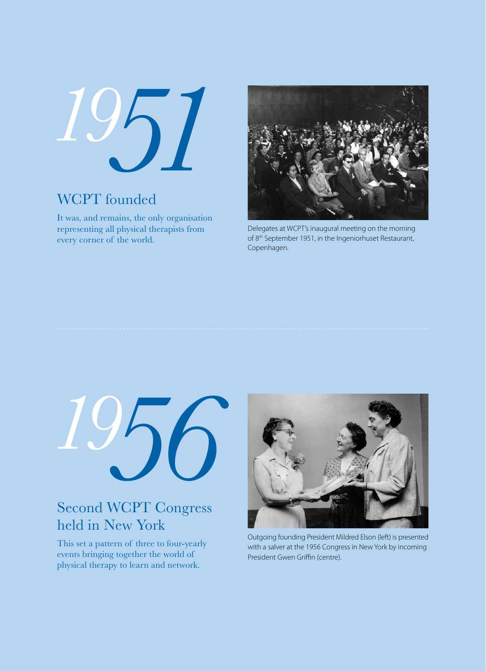*1951*

# WCPT founded

It was, and remains, the only organisation representing all physical therapists from every corner of the world.



Delegates at WCPT's inaugural meeting on the morning of 8<sup>th</sup> September 1951, in the Ingeniorhuset Restaurant, Copenhagen.



# Second WCPT Congress held in New York

This set a pattern of three to four-yearly events bringing together the world of physical therapy to learn and network.



Outgoing founding President Mildred Elson (left) is presented with a salver at the 1956 Congress in New York by incoming President Gwen Griffin (centre).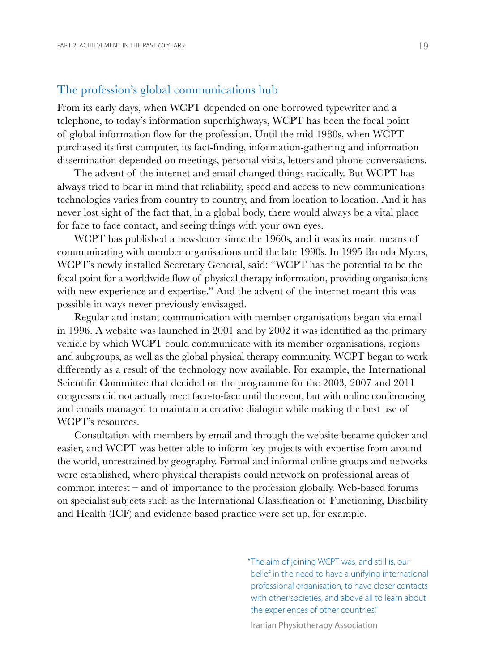## The profession's global communications hub

From its early days, when WCPT depended on one borrowed typewriter and a telephone, to today's information superhighways, WCPT has been the focal point of global information flow for the profession. Until the mid 1980s, when WCPT purchased its first computer, its fact-finding, information-gathering and information dissemination depended on meetings, personal visits, letters and phone conversations.

The advent of the internet and email changed things radically. But WCPT has always tried to bear in mind that reliability, speed and access to new communications technologies varies from country to country, and from location to location. And it has never lost sight of the fact that, in a global body, there would always be a vital place for face to face contact, and seeing things with your own eyes.

WCPT has published a newsletter since the 1960s, and it was its main means of communicating with member organisations until the late 1990s. In 1995 Brenda Myers, WCPT's newly installed Secretary General, said: "WCPT has the potential to be the focal point for a worldwide flow of physical therapy information, providing organisations with new experience and expertise." And the advent of the internet meant this was possible in ways never previously envisaged.

Regular and instant communication with member organisations began via email in 1996. A website was launched in 2001 and by 2002 it was identified as the primary vehicle by which WCPT could communicate with its member organisations, regions and subgroups, as well as the global physical therapy community. WCPT began to work differently as a result of the technology now available. For example, the International Scientific Committee that decided on the programme for the 2003, 2007 and 2011 congresses did not actually meet face-to-face until the event, but with online conferencing and emails managed to maintain a creative dialogue while making the best use of WCPT's resources.

Consultation with members by email and through the website became quicker and easier, and WCPT was better able to inform key projects with expertise from around the world, unrestrained by geography. Formal and informal online groups and networks were established, where physical therapists could network on professional areas of common interest – and of importance to the profession globally. Web-based forums on specialist subjects such as the International Classification of Functioning, Disability and Health (ICF) and evidence based practice were set up, for example.

> "The aim of joining WCPT was, and still is, our belief in the need to have a unifying international professional organisation, to have closer contacts with other societies, and above all to learn about the experiences of other countries." Iranian Physiotherapy Association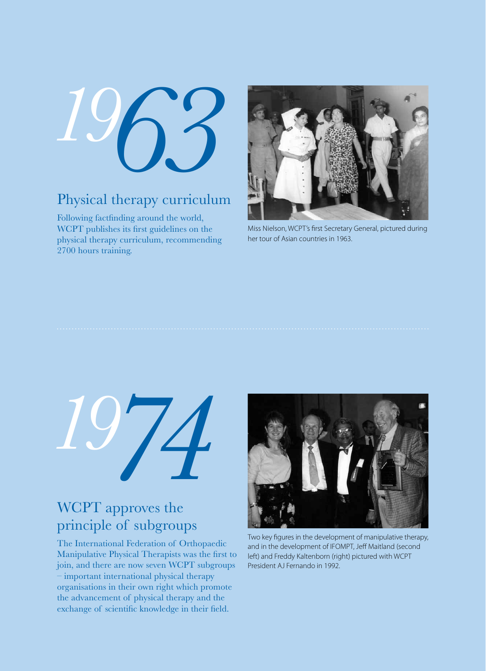*1963*

# Physical therapy curriculum

Following factfinding around the world, WCPT publishes its first guidelines on the physical therapy curriculum, recommending 2700 hours training.



Miss Nielson, WCPT's first Secretary General, pictured during her tour of Asian countries in 1963.



# WCPT approves the principle of subgroups

The International Federation of Orthopaedic Manipulative Physical Therapists was the first to join, and there are now seven WCPT subgroups – important international physical therapy organisations in their own right which promote the advancement of physical therapy and the exchange of scientific knowledge in their field.



Two key figures in the development of manipulative therapy, and in the development of IFOMPT, Jeff Maitland (second left) and Freddy Kaltenborn (right) pictured with WCPT President AJ Fernando in 1992.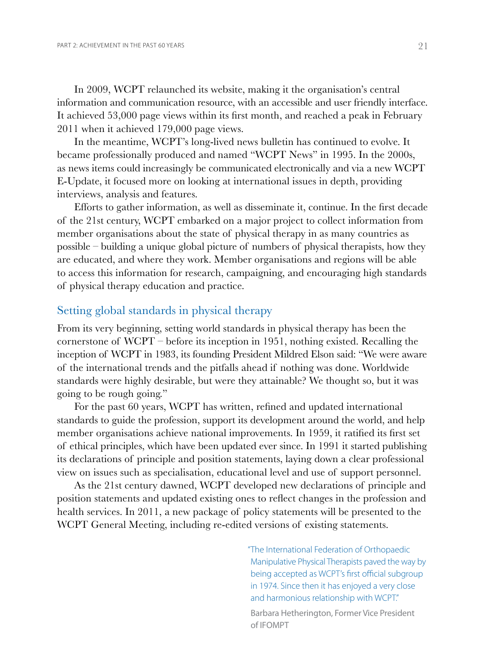In 2009, WCPT relaunched its website, making it the organisation's central information and communication resource, with an accessible and user friendly interface. It achieved 53,000 page views within its first month, and reached a peak in February 2011 when it achieved 179,000 page views.

In the meantime, WCPT's long-lived news bulletin has continued to evolve. It became professionally produced and named "WCPT News" in 1995. In the 2000s, as news items could increasingly be communicated electronically and via a new WCPT E-Update, it focused more on looking at international issues in depth, providing interviews, analysis and features.

Efforts to gather information, as well as disseminate it, continue. In the first decade of the 21st century, WCPT embarked on a major project to collect information from member organisations about the state of physical therapy in as many countries as possible – building a unique global picture of numbers of physical therapists, how they are educated, and where they work. Member organisations and regions will be able to access this information for research, campaigning, and encouraging high standards of physical therapy education and practice.

# Setting global standards in physical therapy

From its very beginning, setting world standards in physical therapy has been the cornerstone of WCPT – before its inception in 1951, nothing existed. Recalling the inception of WCPT in 1983, its founding President Mildred Elson said: "We were aware of the international trends and the pitfalls ahead if nothing was done. Worldwide standards were highly desirable, but were they attainable? We thought so, but it was going to be rough going."

For the past 60 years, WCPT has written, refined and updated international standards to guide the profession, support its development around the world, and help member organisations achieve national improvements. In 1959, it ratified its first set of ethical principles, which have been updated ever since. In 1991 it started publishing its declarations of principle and position statements, laying down a clear professional view on issues such as specialisation, educational level and use of support personnel.

As the 21st century dawned, WCPT developed new declarations of principle and position statements and updated existing ones to reflect changes in the profession and health services. In 2011, a new package of policy statements will be presented to the WCPT General Meeting, including re-edited versions of existing statements.

> "The International Federation of Orthopaedic Manipulative Physical Therapists paved the way by being accepted as WCPT's first official subgroup in 1974. Since then it has enjoyed a very close and harmonious relationship with WCPT."

Barbara Hetherington, Former Vice President of IFOMPT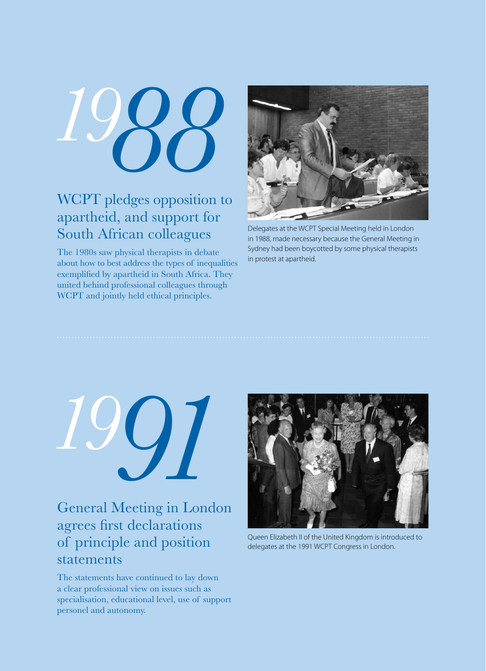

# WCPT pledges opposition to apartheid, and support for South African colleagues

The 1980s saw physical therapists in debate about how to best address the types of inequalities exemplified by apartheid in South Africa. They united behind professional colleagues through WCPT and jointly held ethical principles.



Delegates at the WCPT Special Meeting held in London in 1988, made necessary because the General Meeting in Sydney had been boycotted by some physical therapists in protest at apartheid.



# General Meeting in London agrees first declarations of principle and position statements

The statements have continued to lay down a clear professional view on issues such as specialisation, educational level, use of support personel and autonomy.



Queen Elizabeth II of the United Kingdom is introduced to delegates at the 1991 WCPT Congress in London.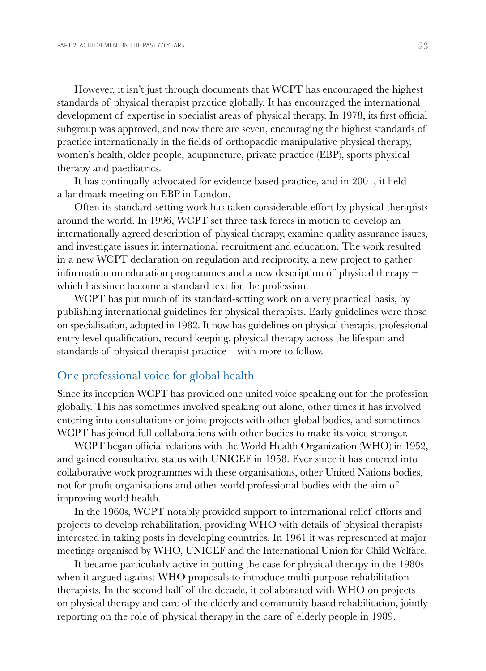However, it isn't just through documents that WCPT has encouraged the highest standards of physical therapist practice globally. It has encouraged the international development of expertise in specialist areas of physical therapy. In 1978, its first official subgroup was approved, and now there are seven, encouraging the highest standards of practice internationally in the fields of orthopaedic manipulative physical therapy, women's health, older people, acupuncture, private practice (EBP), sports physical therapy and paediatrics.

It has continually advocated for evidence based practice, and in 2001, it held a landmark meeting on EBP in London.

Often its standard-setting work has taken considerable effort by physical therapists around the world. In 1996, WCPT set three task forces in motion to develop an internationally agreed description of physical therapy, examine quality assurance issues, and investigate issues in international recruitment and education. The work resulted in a new WCPT declaration on regulation and reciprocity, a new project to gather information on education programmes and a new description of physical therapy – which has since become a standard text for the profession.

WCPT has put much of its standard-setting work on a very practical basis, by publishing international guidelines for physical therapists. Early guidelines were those on specialisation, adopted in 1982. It now has guidelines on physical therapist professional entry level qualification, record keeping, physical therapy across the lifespan and standards of physical therapist practice – with more to follow.

## One professional voice for global health

Since its inception WCPT has provided one united voice speaking out for the profession globally. This has sometimes involved speaking out alone, other times it has involved entering into consultations or joint projects with other global bodies, and sometimes WCPT has joined full collaborations with other bodies to make its voice stronger.

WCPT began official relations with the World Health Organization (WHO) in 1952, and gained consultative status with UNICEF in 1958. Ever since it has entered into collaborative work programmes with these organisations, other United Nations bodies, not for profit organisations and other world professional bodies with the aim of improving world health.

In the 1960s, WCPT notably provided support to international relief efforts and projects to develop rehabilitation, providing WHO with details of physical therapists interested in taking posts in developing countries. In 1961 it was represented at major meetings organised by WHO, UNICEF and the International Union for Child Welfare.

It became particularly active in putting the case for physical therapy in the 1980s when it argued against WHO proposals to introduce multi-purpose rehabilitation therapists. In the second half of the decade, it collaborated with WHO on projects on physical therapy and care of the elderly and community based rehabilitation, jointly reporting on the role of physical therapy in the care of elderly people in 1989.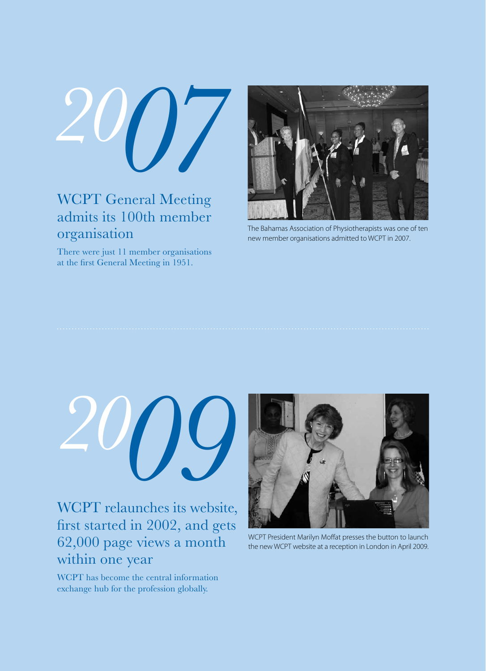*2007*

# WCPT General Meeting admits its 100th member organisation

There were just 11 member organisations at the first General Meeting in 1951.



The Bahamas Association of Physiotherapists was one of ten new member organisations admitted to WCPT in 2007.



WCPT relaunches its website, first started in 2002, and gets 62,000 page views a month within one year

WCPT has become the central information exchange hub for the profession globally.



WCPT President Marilyn Moffat presses the button to launch the new WCPT website at a reception in London in April 2009.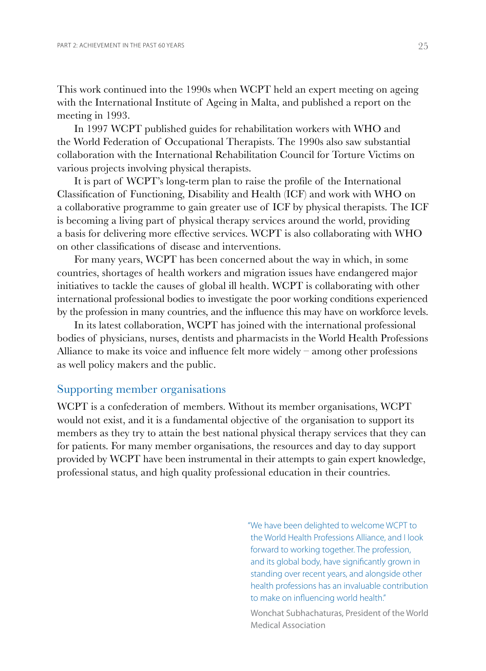This work continued into the 1990s when WCPT held an expert meeting on ageing with the International Institute of Ageing in Malta, and published a report on the meeting in 1993.

In 1997 WCPT published guides for rehabilitation workers with WHO and the World Federation of Occupational Therapists. The 1990s also saw substantial collaboration with the International Rehabilitation Council for Torture Victims on various projects involving physical therapists.

It is part of WCPT's long-term plan to raise the profile of the International Classification of Functioning, Disability and Health (ICF) and work with WHO on a collaborative programme to gain greater use of ICF by physical therapists. The ICF is becoming a living part of physical therapy services around the world, providing a basis for delivering more effective services. WCPT is also collaborating with WHO on other classifications of disease and interventions.

For many years, WCPT has been concerned about the way in which, in some countries, shortages of health workers and migration issues have endangered major initiatives to tackle the causes of global ill health. WCPT is collaborating with other international professional bodies to investigate the poor working conditions experienced by the profession in many countries, and the influence this may have on workforce levels.

In its latest collaboration, WCPT has joined with the international professional bodies of physicians, nurses, dentists and pharmacists in the World Health Professions Alliance to make its voice and influence felt more widely – among other professions as well policy makers and the public.

## Supporting member organisations

WCPT is a confederation of members. Without its member organisations, WCPT would not exist, and it is a fundamental objective of the organisation to support its members as they try to attain the best national physical therapy services that they can for patients. For many member organisations, the resources and day to day support provided by WCPT have been instrumental in their attempts to gain expert knowledge, professional status, and high quality professional education in their countries.

> "We have been delighted to welcome WCPT to the World Health Professions Alliance, and I look forward to working together. The profession, and its global body, have significantly grown in standing over recent years, and alongside other health professions has an invaluable contribution to make on influencing world health."

Wonchat Subhachaturas, President of the World Medical Association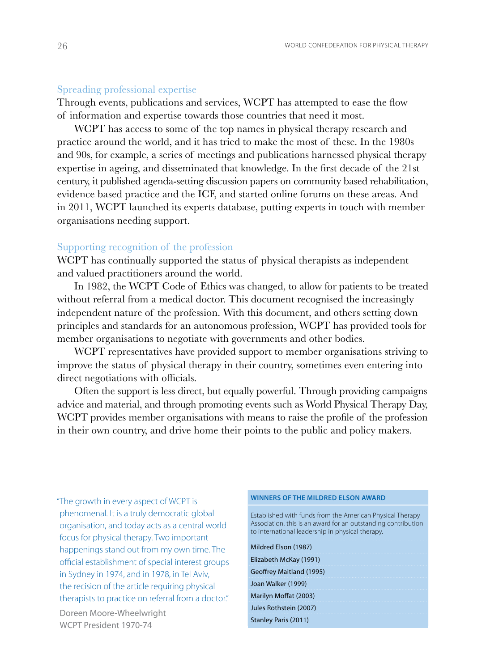#### Spreading professional expertise

Through events, publications and services, WCPT has attempted to ease the flow of information and expertise towards those countries that need it most.

WCPT has access to some of the top names in physical therapy research and practice around the world, and it has tried to make the most of these. In the 1980s and 90s, for example, a series of meetings and publications harnessed physical therapy expertise in ageing, and disseminated that knowledge. In the first decade of the 21st century, it published agenda-setting discussion papers on community based rehabilitation, evidence based practice and the ICF, and started online forums on these areas. And in 2011, WCPT launched its experts database, putting experts in touch with member organisations needing support.

#### Supporting recognition of the profession

WCPT has continually supported the status of physical therapists as independent and valued practitioners around the world.

In 1982, the WCPT Code of Ethics was changed, to allow for patients to be treated without referral from a medical doctor. This document recognised the increasingly independent nature of the profession. With this document, and others setting down principles and standards for an autonomous profession, WCPT has provided tools for member organisations to negotiate with governments and other bodies.

WCPT representatives have provided support to member organisations striving to improve the status of physical therapy in their country, sometimes even entering into direct negotiations with officials.

Often the support is less direct, but equally powerful. Through providing campaigns advice and material, and through promoting events such as World Physical Therapy Day, WCPT provides member organisations with means to raise the profile of the profession in their own country, and drive home their points to the public and policy makers.

"The growth in every aspect of WCPT is phenomenal. It is a truly democratic global organisation, and today acts as a central world focus for physical therapy. Two important happenings stand out from my own time. The official establishment of special interest groups in Sydney in 1974, and in 1978, in Tel Aviv, the recision of the article requiring physical therapists to practice on referral from a doctor."

Doreen Moore-Wheelwright WCPT President 1970-74

#### **Winners of the Mildred Elson Award**

Established with funds from the American Physical Therapy Association, this is an award for an outstanding contribution to international leadership in physical therapy.

Mildred Elson (1987) Elizabeth McKay (1991) Geoffrey Maitland (1995) Joan Walker (1999) Marilyn Moffat (2003) Jules Rothstein (2007)

#### Stanley Paris (2011)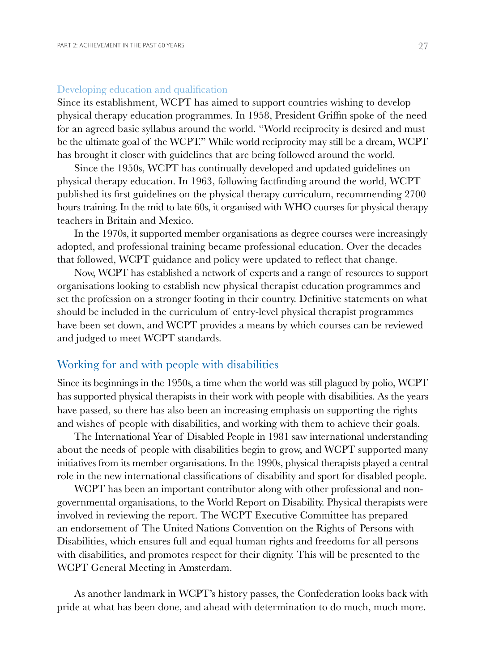#### Developing education and qualification

Since its establishment, WCPT has aimed to support countries wishing to develop physical therapy education programmes. In 1958, President Griffin spoke of the need for an agreed basic syllabus around the world. "World reciprocity is desired and must be the ultimate goal of the WCPT." While world reciprocity may still be a dream, WCPT has brought it closer with guidelines that are being followed around the world.

Since the 1950s, WCPT has continually developed and updated guidelines on physical therapy education. In 1963, following factfinding around the world, WCPT published its first guidelines on the physical therapy curriculum, recommending 2700 hours training. In the mid to late 60s, it organised with WHO courses for physical therapy teachers in Britain and Mexico.

In the 1970s, it supported member organisations as degree courses were increasingly adopted, and professional training became professional education. Over the decades that followed, WCPT guidance and policy were updated to reflect that change.

Now, WCPT has established a network of experts and a range of resources to support organisations looking to establish new physical therapist education programmes and set the profession on a stronger footing in their country. Definitive statements on what should be included in the curriculum of entry-level physical therapist programmes have been set down, and WCPT provides a means by which courses can be reviewed and judged to meet WCPT standards.

# Working for and with people with disabilities

Since its beginnings in the 1950s, a time when the world was still plagued by polio, WCPT has supported physical therapists in their work with people with disabilities. As the years have passed, so there has also been an increasing emphasis on supporting the rights and wishes of people with disabilities, and working with them to achieve their goals.

The International Year of Disabled People in 1981 saw international understanding about the needs of people with disabilities begin to grow, and WCPT supported many initiatives from its member organisations. In the 1990s, physical therapists played a central role in the new international classifications of disability and sport for disabled people.

WCPT has been an important contributor along with other professional and nongovernmental organisations, to the World Report on Disability. Physical therapists were involved in reviewing the report. The WCPT Executive Committee has prepared an endorsement of The United Nations Convention on the Rights of Persons with Disabilities, which ensures full and equal human rights and freedoms for all persons with disabilities, and promotes respect for their dignity. This will be presented to the WCPT General Meeting in Amsterdam.

As another landmark in WCPT's history passes, the Confederation looks back with pride at what has been done, and ahead with determination to do much, much more.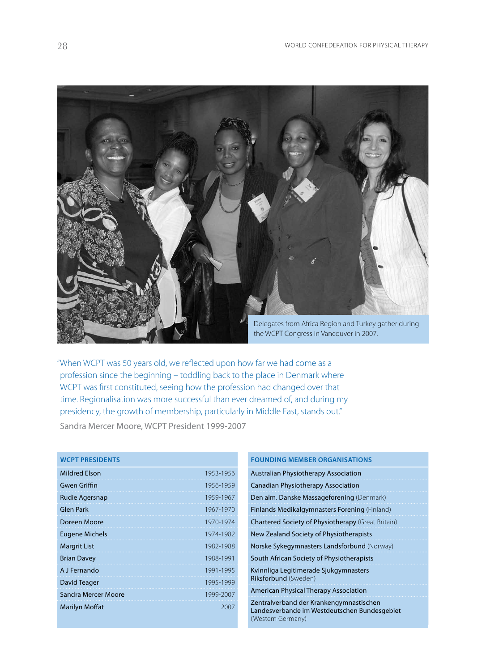

"When WCPT was 50 years old, we reflected upon how far we had come as a profession since the beginning – toddling back to the place in Denmark where WCPT was first constituted, seeing how the profession had changed over that time. Regionalisation was more successful than ever dreamed of, and during my presidency, the growth of membership, particularly in Middle East, stands out." Sandra Mercer Moore, WCPT President 1999-2007

#### **WCPT Presidents**

| 1953-1956 |
|-----------|
| 1956-1959 |
| 1959-1967 |
| 1967-1970 |
| 1970-1974 |
| 1974-1982 |
| 1982-1988 |
| 1988-1991 |
| 1991-1995 |
| 1995-1999 |
| 1999-2007 |
|           |
|           |

#### **Founding member organisations**

Australian Physiotherapy Association Canadian Physiotherapy Association Den alm. Danske Massageforening (Denmark) Finlands Medikalgymnasters Forening (Finland) Chartered Society of Physiotherapy (Great Britain) New Zealand Society of Physiotherapists Norske Sykegymnasters Landsforbund (Norway) South African Society of Physiotherapists Kvinnliga Legitimerade Sjukgymnasters Riksforbund (Sweden) American Physical Therapy Association Zentralverband der Krankengymnastischen Landesverbande im Westdeutschen Bundesgebiet (Western Germany)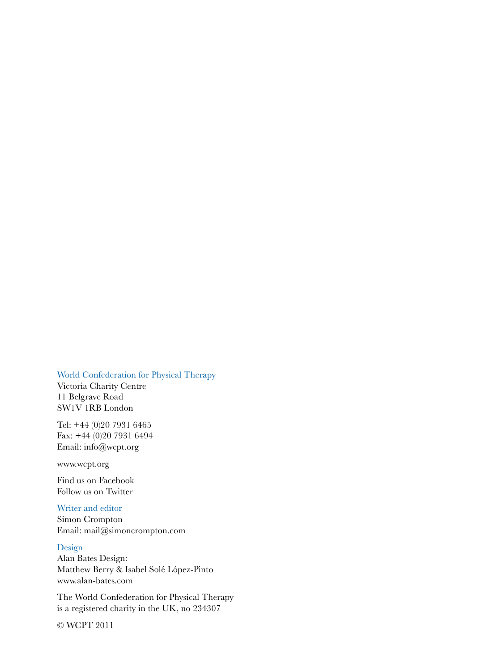#### World Confederation for Physical Therapy

Victoria Charity Centre 11 Belgrave Road SW1V 1RB London

Tel: +44 (0)20 7931 6465 Fax: +44 (0)20 7931 6494 Email: info@wcpt.org

www.wcpt.org

Find us on Facebook Follow us on Twitter

#### Writer and editor

Simon Crompton Email: mail@simoncrompton.com

#### Design

Alan Bates Design: Matthew Berry & Isabel Solé López-Pinto www.alan-bates.com

The World Confederation for Physical Therapy is a registered charity in the UK, no 234307

© WCPT 2011